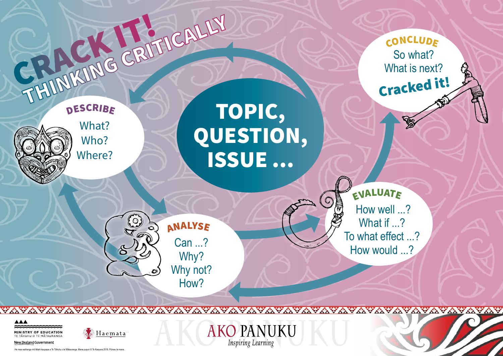He mea waihanga mō tētahi kaupapa a Te Tāhuhu o te Mātauranga. Mana pupuri © Te Karauna 2019. Pūmau te mana.



**AKO PANUKU** 

Inspiring Learning

#### **AAA**

MINISTRY OF EDUCATION



New Zealand Government

 How well ...? What if ...? To what effect ...? How would ...? <sup>E</sup>VALUAT<sup>E</sup>

So what? What is next? **CONCLUDE** Cracked it!